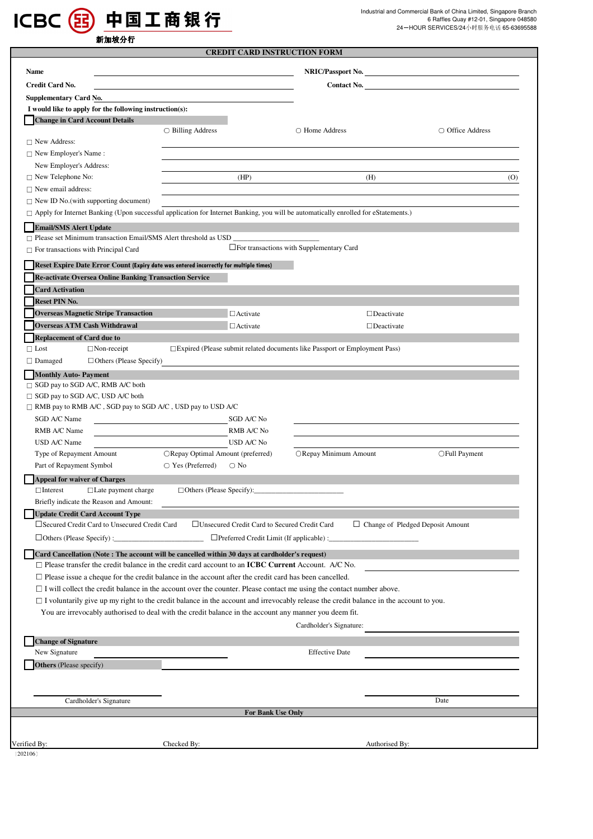

|                                                                                                                                                                                                                                                                                                                                                                                                                                                                                                                                                                                                                                                                                                                                                                                                  | <b>CREDIT CARD INSTRUCTION FORM</b>                                                                                                                                                                                                                      |                                                    |                                         |                                     |
|--------------------------------------------------------------------------------------------------------------------------------------------------------------------------------------------------------------------------------------------------------------------------------------------------------------------------------------------------------------------------------------------------------------------------------------------------------------------------------------------------------------------------------------------------------------------------------------------------------------------------------------------------------------------------------------------------------------------------------------------------------------------------------------------------|----------------------------------------------------------------------------------------------------------------------------------------------------------------------------------------------------------------------------------------------------------|----------------------------------------------------|-----------------------------------------|-------------------------------------|
| Name                                                                                                                                                                                                                                                                                                                                                                                                                                                                                                                                                                                                                                                                                                                                                                                             | NRIC/Passport No.                                                                                                                                                                                                                                        |                                                    |                                         |                                     |
| <b>Credit Card No.</b>                                                                                                                                                                                                                                                                                                                                                                                                                                                                                                                                                                                                                                                                                                                                                                           | <u> 1989 - Johann Stein, marwolaethau a bhann an t-</u>                                                                                                                                                                                                  |                                                    |                                         | <b>Contact No.</b> The contract No. |
| <b>Supplementary Card No.</b>                                                                                                                                                                                                                                                                                                                                                                                                                                                                                                                                                                                                                                                                                                                                                                    |                                                                                                                                                                                                                                                          |                                                    |                                         |                                     |
| I would like to apply for the following instruction(s):                                                                                                                                                                                                                                                                                                                                                                                                                                                                                                                                                                                                                                                                                                                                          |                                                                                                                                                                                                                                                          |                                                    |                                         |                                     |
| <b>Change in Card Account Details</b>                                                                                                                                                                                                                                                                                                                                                                                                                                                                                                                                                                                                                                                                                                                                                            |                                                                                                                                                                                                                                                          |                                                    |                                         |                                     |
|                                                                                                                                                                                                                                                                                                                                                                                                                                                                                                                                                                                                                                                                                                                                                                                                  | $\bigcirc$ Billing Address                                                                                                                                                                                                                               | ○ Home Address                                     |                                         | ○ Office Address                    |
| $\Box$ New Address:                                                                                                                                                                                                                                                                                                                                                                                                                                                                                                                                                                                                                                                                                                                                                                              |                                                                                                                                                                                                                                                          |                                                    |                                         |                                     |
| $\Box$ New Employer's Name:                                                                                                                                                                                                                                                                                                                                                                                                                                                                                                                                                                                                                                                                                                                                                                      |                                                                                                                                                                                                                                                          |                                                    |                                         |                                     |
| New Employer's Address:                                                                                                                                                                                                                                                                                                                                                                                                                                                                                                                                                                                                                                                                                                                                                                          |                                                                                                                                                                                                                                                          |                                                    |                                         |                                     |
| $\Box$ New Telephone No:<br>$\Box$ New email address:                                                                                                                                                                                                                                                                                                                                                                                                                                                                                                                                                                                                                                                                                                                                            | (HP)                                                                                                                                                                                                                                                     |                                                    | (H)                                     | (0)                                 |
| $\Box$ New ID No.(with supporting document)                                                                                                                                                                                                                                                                                                                                                                                                                                                                                                                                                                                                                                                                                                                                                      |                                                                                                                                                                                                                                                          |                                                    |                                         |                                     |
| □ Apply for Internet Banking (Upon successful application for Internet Banking, you will be automatically enrolled for eStatements.)                                                                                                                                                                                                                                                                                                                                                                                                                                                                                                                                                                                                                                                             |                                                                                                                                                                                                                                                          |                                                    |                                         |                                     |
|                                                                                                                                                                                                                                                                                                                                                                                                                                                                                                                                                                                                                                                                                                                                                                                                  |                                                                                                                                                                                                                                                          |                                                    |                                         |                                     |
| <b>Email/SMS Alert Update</b><br>Please set Minimum transaction Email/SMS Alert threshold as USD                                                                                                                                                                                                                                                                                                                                                                                                                                                                                                                                                                                                                                                                                                 |                                                                                                                                                                                                                                                          |                                                    |                                         |                                     |
| For transactions with Principal Card                                                                                                                                                                                                                                                                                                                                                                                                                                                                                                                                                                                                                                                                                                                                                             |                                                                                                                                                                                                                                                          | $\square$ For transactions with Supplementary Card |                                         |                                     |
|                                                                                                                                                                                                                                                                                                                                                                                                                                                                                                                                                                                                                                                                                                                                                                                                  |                                                                                                                                                                                                                                                          |                                                    |                                         |                                     |
| Reset Expire Date Error Count (Expiry date was entered incorrectly for multiple times)                                                                                                                                                                                                                                                                                                                                                                                                                                                                                                                                                                                                                                                                                                           |                                                                                                                                                                                                                                                          |                                                    |                                         |                                     |
| Re-activate Oversea Online Banking Transaction Service                                                                                                                                                                                                                                                                                                                                                                                                                                                                                                                                                                                                                                                                                                                                           |                                                                                                                                                                                                                                                          |                                                    |                                         |                                     |
| <b>Card Activation</b><br><b>Reset PIN No.</b>                                                                                                                                                                                                                                                                                                                                                                                                                                                                                                                                                                                                                                                                                                                                                   |                                                                                                                                                                                                                                                          |                                                    |                                         |                                     |
| <b>Overseas Magnetic Stripe Transaction</b>                                                                                                                                                                                                                                                                                                                                                                                                                                                                                                                                                                                                                                                                                                                                                      | $\Box$ Activate                                                                                                                                                                                                                                          |                                                    | $\Box$ Deactivate                       |                                     |
| <b>Overseas ATM Cash Withdrawal</b>                                                                                                                                                                                                                                                                                                                                                                                                                                                                                                                                                                                                                                                                                                                                                              | $\Box$ Activate                                                                                                                                                                                                                                          |                                                    | $\Box$ Deactivate                       |                                     |
| <b>Replacement of Card due to</b>                                                                                                                                                                                                                                                                                                                                                                                                                                                                                                                                                                                                                                                                                                                                                                |                                                                                                                                                                                                                                                          |                                                    |                                         |                                     |
| $\Box$ Lost<br>$\Box$ Non-receipt                                                                                                                                                                                                                                                                                                                                                                                                                                                                                                                                                                                                                                                                                                                                                                | $\square$ Expired (Please submit related documents like Passport or Employment Pass)                                                                                                                                                                     |                                                    |                                         |                                     |
| $\Box$ Others (Please Specify)<br>$\Box$ Damaged                                                                                                                                                                                                                                                                                                                                                                                                                                                                                                                                                                                                                                                                                                                                                 |                                                                                                                                                                                                                                                          |                                                    |                                         |                                     |
| SGD A/C Name<br>RMB A/C Name<br>USD A/C Name<br>Type of Repayment Amount<br>Part of Repayment Symbol<br><b>Appeal for waiver of Charges</b><br>$\Box$ Late payment charge<br>$\Box$ Interest<br>Briefly indicate the Reason and Amount:<br><b>Update Credit Card Account Type</b><br>□ Secured Credit Card to Unsecured Credit Card<br>Card Cancellation (Note: The account will be cancelled within 30 days at cardholder's request)<br>$\Box$ Please transfer the credit balance in the credit card account to an ICBC Current Account. A/C No.<br>$\Box$ Please issue a cheque for the credit balance in the account after the credit card has been cancelled.<br>$\Box$ I will collect the credit balance in the account over the counter. Please contact me using the contact number above. | SGD A/C No<br>RMB A/C No<br>USD A/C No<br>ORepay Optimal Amount (preferred)<br>$\bigcirc$ Yes (Preferred) $\bigcirc$ No<br>$\Box$ Others (Please Specify):<br>□Unsecured Credit Card to Secured Credit Card<br>□Preferred Credit Limit (If applicable) : | O Repay Minimum Amount                             | $\Box$ Change of Pledged Deposit Amount | ○ Full Payment                      |
| $\Box$ I voluntarily give up my right to the credit balance in the account and irrevocably release the credit balance in the account to you.<br>You are irrevocably authorised to deal with the credit balance in the account any manner you deem fit.                                                                                                                                                                                                                                                                                                                                                                                                                                                                                                                                           |                                                                                                                                                                                                                                                          | Cardholder's Signature:                            |                                         |                                     |
| <b>Change of Signature</b><br>New Signature                                                                                                                                                                                                                                                                                                                                                                                                                                                                                                                                                                                                                                                                                                                                                      |                                                                                                                                                                                                                                                          | <b>Effective Date</b>                              |                                         |                                     |
| Others (Please specify)                                                                                                                                                                                                                                                                                                                                                                                                                                                                                                                                                                                                                                                                                                                                                                          |                                                                                                                                                                                                                                                          |                                                    |                                         |                                     |
| Cardholder's Signature                                                                                                                                                                                                                                                                                                                                                                                                                                                                                                                                                                                                                                                                                                                                                                           |                                                                                                                                                                                                                                                          |                                                    |                                         | Date                                |
|                                                                                                                                                                                                                                                                                                                                                                                                                                                                                                                                                                                                                                                                                                                                                                                                  | For Bank Use Only                                                                                                                                                                                                                                        |                                                    |                                         |                                     |
|                                                                                                                                                                                                                                                                                                                                                                                                                                                                                                                                                                                                                                                                                                                                                                                                  |                                                                                                                                                                                                                                                          |                                                    |                                         |                                     |
|                                                                                                                                                                                                                                                                                                                                                                                                                                                                                                                                                                                                                                                                                                                                                                                                  |                                                                                                                                                                                                                                                          |                                                    |                                         |                                     |
| Verified By:                                                                                                                                                                                                                                                                                                                                                                                                                                                                                                                                                                                                                                                                                                                                                                                     | Checked By:                                                                                                                                                                                                                                              |                                                    | Authorised By:                          |                                     |

〔202106〕